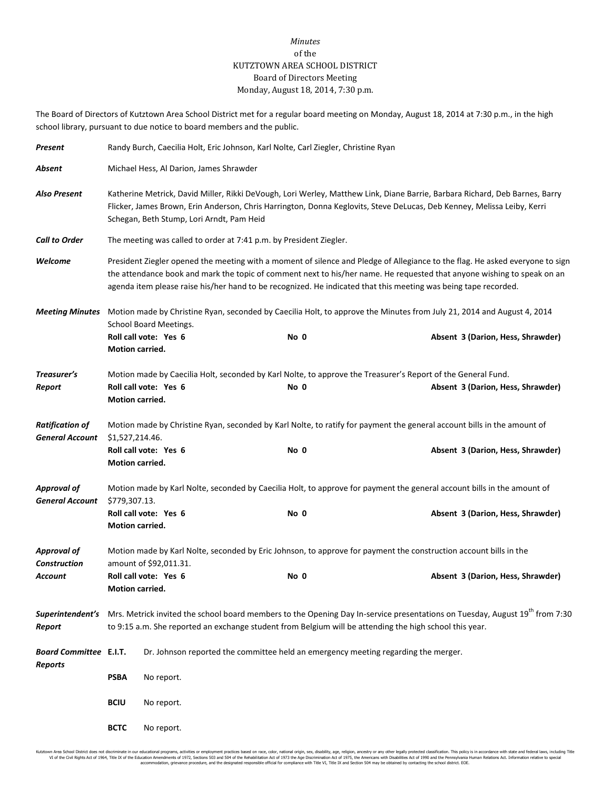## *Minutes* of the KUTZTOWN AREA SCHOOL DISTRICT Board of Directors Meeting Monday, August 18, 2014, 7:30 p.m.

The Board of Directors of Kutztown Area School District met for a regular board meeting on Monday, August 18, 2014 at 7:30 p.m., in the high school library, pursuant to due notice to board members and the public.

| Present                                          | Randy Burch, Caecilia Holt, Eric Johnson, Karl Nolte, Carl Ziegler, Christine Ryan                                                                                                                                                                                                                  |                                                                                                                                                                                                                                                                                                                                                                             |      |                                                                                                                                                              |  |  |  |  |
|--------------------------------------------------|-----------------------------------------------------------------------------------------------------------------------------------------------------------------------------------------------------------------------------------------------------------------------------------------------------|-----------------------------------------------------------------------------------------------------------------------------------------------------------------------------------------------------------------------------------------------------------------------------------------------------------------------------------------------------------------------------|------|--------------------------------------------------------------------------------------------------------------------------------------------------------------|--|--|--|--|
| Absent                                           | Michael Hess, Al Darion, James Shrawder                                                                                                                                                                                                                                                             |                                                                                                                                                                                                                                                                                                                                                                             |      |                                                                                                                                                              |  |  |  |  |
| <b>Also Present</b>                              | Katherine Metrick, David Miller, Rikki DeVough, Lori Werley, Matthew Link, Diane Barrie, Barbara Richard, Deb Barnes, Barry<br>Flicker, James Brown, Erin Anderson, Chris Harrington, Donna Keglovits, Steve DeLucas, Deb Kenney, Melissa Leiby, Kerri<br>Schegan, Beth Stump, Lori Arndt, Pam Heid |                                                                                                                                                                                                                                                                                                                                                                             |      |                                                                                                                                                              |  |  |  |  |
| <b>Call to Order</b>                             |                                                                                                                                                                                                                                                                                                     | The meeting was called to order at 7:41 p.m. by President Ziegler.                                                                                                                                                                                                                                                                                                          |      |                                                                                                                                                              |  |  |  |  |
| Welcome                                          |                                                                                                                                                                                                                                                                                                     | President Ziegler opened the meeting with a moment of silence and Pledge of Allegiance to the flag. He asked everyone to sign<br>the attendance book and mark the topic of comment next to his/her name. He requested that anyone wishing to speak on an<br>agenda item please raise his/her hand to be recognized. He indicated that this meeting was being tape recorded. |      |                                                                                                                                                              |  |  |  |  |
| <b>Meeting Minutes</b>                           | Motion made by Christine Ryan, seconded by Caecilia Holt, to approve the Minutes from July 21, 2014 and August 4, 2014                                                                                                                                                                              |                                                                                                                                                                                                                                                                                                                                                                             |      |                                                                                                                                                              |  |  |  |  |
|                                                  | Motion carried.                                                                                                                                                                                                                                                                                     | School Board Meetings.<br>Roll call vote: Yes 6                                                                                                                                                                                                                                                                                                                             | No 0 | Absent 3 (Darion, Hess, Shrawder)                                                                                                                            |  |  |  |  |
| Treasurer's<br>Report                            | Motion carried.                                                                                                                                                                                                                                                                                     | Roll call vote: Yes 6                                                                                                                                                                                                                                                                                                                                                       | No 0 | Motion made by Caecilia Holt, seconded by Karl Nolte, to approve the Treasurer's Report of the General Fund.<br>Absent 3 (Darion, Hess, Shrawder)            |  |  |  |  |
| <b>Ratification of</b><br><b>General Account</b> | \$1,527,214.46.<br>Motion carried.                                                                                                                                                                                                                                                                  | Roll call vote: Yes 6                                                                                                                                                                                                                                                                                                                                                       | No 0 | Motion made by Christine Ryan, seconded by Karl Nolte, to ratify for payment the general account bills in the amount of<br>Absent 3 (Darion, Hess, Shrawder) |  |  |  |  |
| <b>Approval of</b><br><b>General Account</b>     | Motion made by Karl Nolte, seconded by Caecilia Holt, to approve for payment the general account bills in the amount of<br>\$779,307.13.                                                                                                                                                            |                                                                                                                                                                                                                                                                                                                                                                             |      |                                                                                                                                                              |  |  |  |  |
|                                                  | Motion carried.                                                                                                                                                                                                                                                                                     | Roll call vote: Yes 6                                                                                                                                                                                                                                                                                                                                                       | No 0 | Absent 3 (Darion, Hess, Shrawder)                                                                                                                            |  |  |  |  |
| <b>Approval of</b><br><b>Construction</b>        | Motion made by Karl Nolte, seconded by Eric Johnson, to approve for payment the construction account bills in the<br>amount of \$92,011.31.                                                                                                                                                         |                                                                                                                                                                                                                                                                                                                                                                             |      |                                                                                                                                                              |  |  |  |  |
| Account                                          | Roll call vote: Yes 6<br>Motion carried.                                                                                                                                                                                                                                                            |                                                                                                                                                                                                                                                                                                                                                                             | No 0 | Absent 3 (Darion, Hess, Shrawder)                                                                                                                            |  |  |  |  |
| Report                                           | Superintendent's Mrs. Metrick invited the school board members to the Opening Day In-service presentations on Tuesday, August 19 <sup>th</sup> from 7:30<br>to 9:15 a.m. She reported an exchange student from Belgium will be attending the high school this year.                                 |                                                                                                                                                                                                                                                                                                                                                                             |      |                                                                                                                                                              |  |  |  |  |
| <b>Board Committee E.I.T.</b><br><b>Reports</b>  | Dr. Johnson reported the committee held an emergency meeting regarding the merger.                                                                                                                                                                                                                  |                                                                                                                                                                                                                                                                                                                                                                             |      |                                                                                                                                                              |  |  |  |  |
|                                                  | <b>PSBA</b>                                                                                                                                                                                                                                                                                         | No report.                                                                                                                                                                                                                                                                                                                                                                  |      |                                                                                                                                                              |  |  |  |  |
|                                                  | <b>BCIU</b>                                                                                                                                                                                                                                                                                         | No report.                                                                                                                                                                                                                                                                                                                                                                  |      |                                                                                                                                                              |  |  |  |  |
|                                                  | <b>BCTC</b>                                                                                                                                                                                                                                                                                         | No report.                                                                                                                                                                                                                                                                                                                                                                  |      |                                                                                                                                                              |  |  |  |  |

Kutztown Area School District does not discriminate in our educational programs, activities or employment practices based on race, color, national origin, sex, disability, age, religion, ancestry or any other legally prot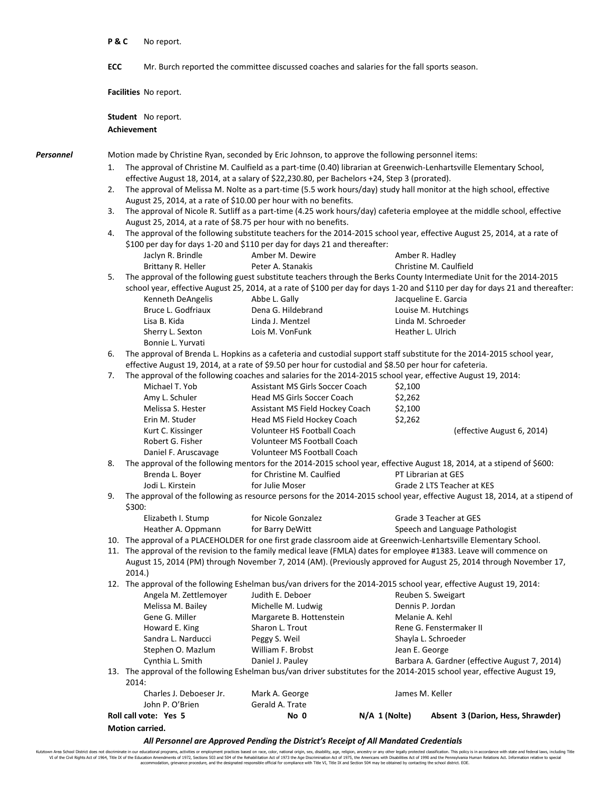|           | P&C                                                                                                                                                                                                                                                | No report.                                                                                                                                                                                            |                                                                                                                                                 |                     |                                                                                                                                |  |  |  |  |
|-----------|----------------------------------------------------------------------------------------------------------------------------------------------------------------------------------------------------------------------------------------------------|-------------------------------------------------------------------------------------------------------------------------------------------------------------------------------------------------------|-------------------------------------------------------------------------------------------------------------------------------------------------|---------------------|--------------------------------------------------------------------------------------------------------------------------------|--|--|--|--|
|           | ECC                                                                                                                                                                                                                                                |                                                                                                                                                                                                       | Mr. Burch reported the committee discussed coaches and salaries for the fall sports season.                                                     |                     |                                                                                                                                |  |  |  |  |
|           |                                                                                                                                                                                                                                                    | Facilities No report.                                                                                                                                                                                 |                                                                                                                                                 |                     |                                                                                                                                |  |  |  |  |
|           |                                                                                                                                                                                                                                                    | <b>Student</b> No report.                                                                                                                                                                             |                                                                                                                                                 |                     |                                                                                                                                |  |  |  |  |
|           | <b>Achievement</b>                                                                                                                                                                                                                                 |                                                                                                                                                                                                       |                                                                                                                                                 |                     |                                                                                                                                |  |  |  |  |
| Personnel |                                                                                                                                                                                                                                                    |                                                                                                                                                                                                       | Motion made by Christine Ryan, seconded by Eric Johnson, to approve the following personnel items:                                              |                     |                                                                                                                                |  |  |  |  |
|           | 1.                                                                                                                                                                                                                                                 | The approval of Christine M. Caulfield as a part-time (0.40) librarian at Greenwich-Lenhartsville Elementary School,                                                                                  |                                                                                                                                                 |                     |                                                                                                                                |  |  |  |  |
|           |                                                                                                                                                                                                                                                    | effective August 18, 2014, at a salary of \$22,230.80, per Bachelors +24, Step 3 (prorated).                                                                                                          |                                                                                                                                                 |                     |                                                                                                                                |  |  |  |  |
|           | 2.                                                                                                                                                                                                                                                 | The approval of Melissa M. Nolte as a part-time (5.5 work hours/day) study hall monitor at the high school, effective<br>August 25, 2014, at a rate of \$10.00 per hour with no benefits.             |                                                                                                                                                 |                     |                                                                                                                                |  |  |  |  |
|           | 3.                                                                                                                                                                                                                                                 | The approval of Nicole R. Sutliff as a part-time (4.25 work hours/day) cafeteria employee at the middle school, effective                                                                             |                                                                                                                                                 |                     |                                                                                                                                |  |  |  |  |
|           |                                                                                                                                                                                                                                                    | August 25, 2014, at a rate of \$8.75 per hour with no benefits.                                                                                                                                       |                                                                                                                                                 |                     |                                                                                                                                |  |  |  |  |
|           | 4.                                                                                                                                                                                                                                                 | The approval of the following substitute teachers for the 2014-2015 school year, effective August 25, 2014, at a rate of<br>\$100 per day for days 1-20 and \$110 per day for days 21 and thereafter: |                                                                                                                                                 |                     |                                                                                                                                |  |  |  |  |
|           |                                                                                                                                                                                                                                                    | Jaclyn R. Brindle                                                                                                                                                                                     | Amber M. Dewire                                                                                                                                 |                     | Amber R. Hadley                                                                                                                |  |  |  |  |
|           |                                                                                                                                                                                                                                                    | Brittany R. Heller                                                                                                                                                                                    | Peter A. Stanakis                                                                                                                               |                     | Christine M. Caulfield                                                                                                         |  |  |  |  |
|           | 5.                                                                                                                                                                                                                                                 | The approval of the following guest substitute teachers through the Berks County Intermediate Unit for the 2014-2015                                                                                  |                                                                                                                                                 |                     |                                                                                                                                |  |  |  |  |
|           |                                                                                                                                                                                                                                                    |                                                                                                                                                                                                       |                                                                                                                                                 |                     | school year, effective August 25, 2014, at a rate of \$100 per day for days 1-20 and \$110 per day for days 21 and thereafter: |  |  |  |  |
|           |                                                                                                                                                                                                                                                    | Kenneth DeAngelis                                                                                                                                                                                     | Abbe L. Gally                                                                                                                                   |                     | Jacqueline E. Garcia                                                                                                           |  |  |  |  |
|           |                                                                                                                                                                                                                                                    | Bruce L. Godfriaux<br>Lisa B. Kida                                                                                                                                                                    | Dena G. Hildebrand<br>Linda J. Mentzel                                                                                                          |                     | Louise M. Hutchings<br>Linda M. Schroeder                                                                                      |  |  |  |  |
|           |                                                                                                                                                                                                                                                    | Sherry L. Sexton                                                                                                                                                                                      | Lois M. VonFunk                                                                                                                                 |                     | Heather L. Ulrich                                                                                                              |  |  |  |  |
|           |                                                                                                                                                                                                                                                    | Bonnie L. Yurvati                                                                                                                                                                                     |                                                                                                                                                 |                     |                                                                                                                                |  |  |  |  |
|           | The approval of Brenda L. Hopkins as a cafeteria and custodial support staff substitute for the 2014-2015 school year,<br>6.                                                                                                                       |                                                                                                                                                                                                       |                                                                                                                                                 |                     |                                                                                                                                |  |  |  |  |
|           |                                                                                                                                                                                                                                                    |                                                                                                                                                                                                       | effective August 19, 2014, at a rate of \$9.50 per hour for custodial and \$8.50 per hour for cafeteria.                                        |                     |                                                                                                                                |  |  |  |  |
|           | 7.                                                                                                                                                                                                                                                 | Michael T. Yob                                                                                                                                                                                        | The approval of the following coaches and salaries for the 2014-2015 school year, effective August 19, 2014:<br>Assistant MS Girls Soccer Coach | \$2,100             |                                                                                                                                |  |  |  |  |
|           |                                                                                                                                                                                                                                                    | Amy L. Schuler                                                                                                                                                                                        | Head MS Girls Soccer Coach                                                                                                                      | \$2,262             |                                                                                                                                |  |  |  |  |
|           |                                                                                                                                                                                                                                                    | Melissa S. Hester                                                                                                                                                                                     | Assistant MS Field Hockey Coach                                                                                                                 | \$2,100             |                                                                                                                                |  |  |  |  |
|           |                                                                                                                                                                                                                                                    | Erin M. Studer                                                                                                                                                                                        | Head MS Field Hockey Coach                                                                                                                      | \$2,262             |                                                                                                                                |  |  |  |  |
|           |                                                                                                                                                                                                                                                    | Kurt C. Kissinger                                                                                                                                                                                     | Volunteer HS Football Coach                                                                                                                     |                     | (effective August 6, 2014)                                                                                                     |  |  |  |  |
|           |                                                                                                                                                                                                                                                    | Robert G. Fisher                                                                                                                                                                                      | Volunteer MS Football Coach                                                                                                                     |                     |                                                                                                                                |  |  |  |  |
|           | Daniel F. Aruscavage<br>Volunteer MS Football Coach<br>8.<br>The approval of the following mentors for the 2014-2015 school year, effective August 18, 2014, at a stipend of \$600:                                                                |                                                                                                                                                                                                       |                                                                                                                                                 |                     |                                                                                                                                |  |  |  |  |
|           |                                                                                                                                                                                                                                                    | Brenda L. Boyer                                                                                                                                                                                       | for Christine M. Caulfied                                                                                                                       | PT Librarian at GES |                                                                                                                                |  |  |  |  |
|           |                                                                                                                                                                                                                                                    | Jodi L. Kirstein                                                                                                                                                                                      | for Julie Moser                                                                                                                                 |                     | Grade 2 LTS Teacher at KES                                                                                                     |  |  |  |  |
|           | 9.                                                                                                                                                                                                                                                 | \$300:                                                                                                                                                                                                |                                                                                                                                                 |                     | The approval of the following as resource persons for the 2014-2015 school year, effective August 18, 2014, at a stipend of    |  |  |  |  |
|           |                                                                                                                                                                                                                                                    | Elizabeth I. Stump                                                                                                                                                                                    | for Nicole Gonzalez                                                                                                                             |                     | Grade 3 Teacher at GES                                                                                                         |  |  |  |  |
|           |                                                                                                                                                                                                                                                    | Heather A. Oppmann                                                                                                                                                                                    | for Barry DeWitt<br>10. The approval of a PLACEHOLDER for one first grade classroom aide at Greenwich-Lenhartsville Elementary School.          |                     | Speech and Language Pathologist                                                                                                |  |  |  |  |
|           |                                                                                                                                                                                                                                                    |                                                                                                                                                                                                       |                                                                                                                                                 |                     |                                                                                                                                |  |  |  |  |
|           | 11. The approval of the revision to the family medical leave (FMLA) dates for employee #1383. Leave will commence on<br>August 15, 2014 (PM) through November 7, 2014 (AM). (Previously approved for August 25, 2014 through November 17,<br>2014. |                                                                                                                                                                                                       |                                                                                                                                                 |                     |                                                                                                                                |  |  |  |  |
|           |                                                                                                                                                                                                                                                    |                                                                                                                                                                                                       | 12. The approval of the following Eshelman bus/van drivers for the 2014-2015 school year, effective August 19, 2014:                            |                     |                                                                                                                                |  |  |  |  |
|           |                                                                                                                                                                                                                                                    | Angela M. Zettlemoyer                                                                                                                                                                                 | Judith E. Deboer                                                                                                                                |                     | Reuben S. Sweigart                                                                                                             |  |  |  |  |
|           |                                                                                                                                                                                                                                                    | Melissa M. Bailey<br>Gene G. Miller                                                                                                                                                                   | Michelle M. Ludwig<br>Margarete B. Hottenstein                                                                                                  |                     | Dennis P. Jordan<br>Melanie A. Kehl                                                                                            |  |  |  |  |
|           |                                                                                                                                                                                                                                                    | Howard E. King                                                                                                                                                                                        | Sharon L. Trout                                                                                                                                 |                     | Rene G. Fenstermaker II                                                                                                        |  |  |  |  |
|           |                                                                                                                                                                                                                                                    | Sandra L. Narducci                                                                                                                                                                                    | Peggy S. Weil                                                                                                                                   |                     | Shayla L. Schroeder                                                                                                            |  |  |  |  |
|           |                                                                                                                                                                                                                                                    | Stephen O. Mazlum                                                                                                                                                                                     | William F. Brobst                                                                                                                               | Jean E. George      |                                                                                                                                |  |  |  |  |
|           |                                                                                                                                                                                                                                                    | Cynthia L. Smith                                                                                                                                                                                      | Daniel J. Pauley                                                                                                                                |                     | Barbara A. Gardner (effective August 7, 2014)                                                                                  |  |  |  |  |
|           |                                                                                                                                                                                                                                                    | 2014:                                                                                                                                                                                                 |                                                                                                                                                 |                     | 13. The approval of the following Eshelman bus/van driver substitutes for the 2014-2015 school year, effective August 19,      |  |  |  |  |
|           |                                                                                                                                                                                                                                                    | Charles J. Deboeser Jr.<br>John P. O'Brien                                                                                                                                                            | Mark A. George<br>Gerald A. Trate                                                                                                               |                     | James M. Keller                                                                                                                |  |  |  |  |
|           |                                                                                                                                                                                                                                                    | Roll call vote: Yes 5                                                                                                                                                                                 | No 0                                                                                                                                            | $N/A$ 1 (Nolte)     | Absent 3 (Darion, Hess, Shrawder)                                                                                              |  |  |  |  |
|           | Motion carried.                                                                                                                                                                                                                                    |                                                                                                                                                                                                       |                                                                                                                                                 |                     |                                                                                                                                |  |  |  |  |

*All Personnel are Approved Pending the District's Receipt of All Mandated Credentials*

Kutztown Area School District does not discriminate in our educational programs, activities or employment practices based on race, color, national origin, sex, disability, age, religion, ancestry or any other legally prot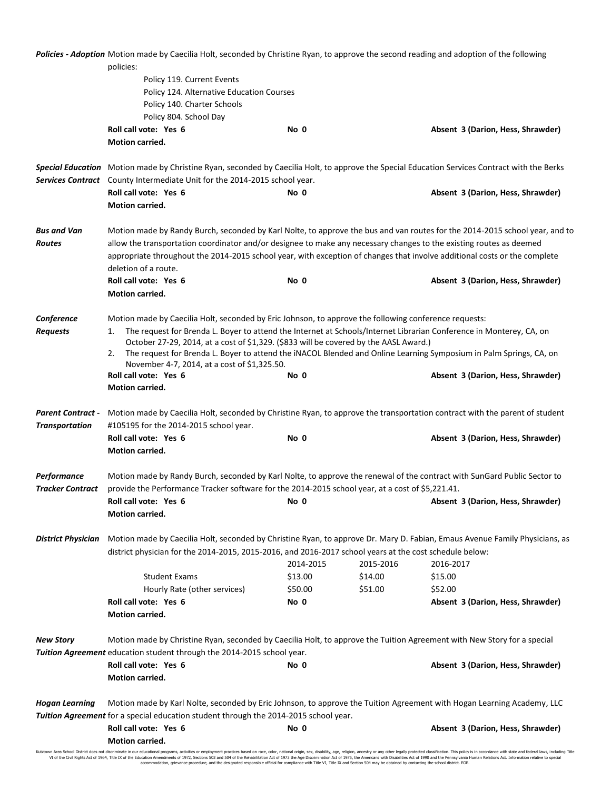|                                                   | Policies - Adoption Motion made by Caecilia Holt, seconded by Christine Ryan, to approve the second reading and adoption of the following                                                                                                                                                                                                                                                                                                                                                               |                                   |           |                                                                                                                                               |  |  |  |  |  |
|---------------------------------------------------|---------------------------------------------------------------------------------------------------------------------------------------------------------------------------------------------------------------------------------------------------------------------------------------------------------------------------------------------------------------------------------------------------------------------------------------------------------------------------------------------------------|-----------------------------------|-----------|-----------------------------------------------------------------------------------------------------------------------------------------------|--|--|--|--|--|
|                                                   | policies:                                                                                                                                                                                                                                                                                                                                                                                                                                                                                               |                                   |           |                                                                                                                                               |  |  |  |  |  |
|                                                   | Policy 119. Current Events                                                                                                                                                                                                                                                                                                                                                                                                                                                                              |                                   |           |                                                                                                                                               |  |  |  |  |  |
|                                                   | Policy 124. Alternative Education Courses                                                                                                                                                                                                                                                                                                                                                                                                                                                               |                                   |           |                                                                                                                                               |  |  |  |  |  |
|                                                   | Policy 140. Charter Schools                                                                                                                                                                                                                                                                                                                                                                                                                                                                             |                                   |           |                                                                                                                                               |  |  |  |  |  |
|                                                   | Policy 804. School Day                                                                                                                                                                                                                                                                                                                                                                                                                                                                                  |                                   |           |                                                                                                                                               |  |  |  |  |  |
|                                                   | Roll call vote: Yes 6                                                                                                                                                                                                                                                                                                                                                                                                                                                                                   | No 0                              |           | Absent 3 (Darion, Hess, Shrawder)                                                                                                             |  |  |  |  |  |
|                                                   | <b>Motion carried.</b>                                                                                                                                                                                                                                                                                                                                                                                                                                                                                  |                                   |           |                                                                                                                                               |  |  |  |  |  |
|                                                   |                                                                                                                                                                                                                                                                                                                                                                                                                                                                                                         |                                   |           | Special Education Motion made by Christine Ryan, seconded by Caecilia Holt, to approve the Special Education Services Contract with the Berks |  |  |  |  |  |
| <b>Services Contract</b>                          | County Intermediate Unit for the 2014-2015 school year.                                                                                                                                                                                                                                                                                                                                                                                                                                                 |                                   |           |                                                                                                                                               |  |  |  |  |  |
|                                                   | Roll call vote: Yes 6                                                                                                                                                                                                                                                                                                                                                                                                                                                                                   | No 0                              |           | Absent 3 (Darion, Hess, Shrawder)                                                                                                             |  |  |  |  |  |
|                                                   | Motion carried.                                                                                                                                                                                                                                                                                                                                                                                                                                                                                         |                                   |           |                                                                                                                                               |  |  |  |  |  |
| <b>Bus and Van</b><br><b>Routes</b>               | Motion made by Randy Burch, seconded by Karl Nolte, to approve the bus and van routes for the 2014-2015 school year, and to<br>allow the transportation coordinator and/or designee to make any necessary changes to the existing routes as deemed                                                                                                                                                                                                                                                      |                                   |           |                                                                                                                                               |  |  |  |  |  |
|                                                   | appropriate throughout the 2014-2015 school year, with exception of changes that involve additional costs or the complete<br>deletion of a route.                                                                                                                                                                                                                                                                                                                                                       |                                   |           |                                                                                                                                               |  |  |  |  |  |
|                                                   | Roll call vote: Yes 6                                                                                                                                                                                                                                                                                                                                                                                                                                                                                   | Absent 3 (Darion, Hess, Shrawder) |           |                                                                                                                                               |  |  |  |  |  |
|                                                   | <b>Motion carried.</b>                                                                                                                                                                                                                                                                                                                                                                                                                                                                                  |                                   |           |                                                                                                                                               |  |  |  |  |  |
| Conference<br><b>Requests</b>                     | Motion made by Caecilia Holt, seconded by Eric Johnson, to approve the following conference requests:<br>The request for Brenda L. Boyer to attend the Internet at Schools/Internet Librarian Conference in Monterey, CA, on<br>1.<br>October 27-29, 2014, at a cost of \$1,329. (\$833 will be covered by the AASL Award.)<br>The request for Brenda L. Boyer to attend the iNACOL Blended and Online Learning Symposium in Palm Springs, CA, on<br>2.<br>November 4-7, 2014, at a cost of \$1,325.50. |                                   |           |                                                                                                                                               |  |  |  |  |  |
|                                                   | Roll call vote: Yes 6                                                                                                                                                                                                                                                                                                                                                                                                                                                                                   | No 0                              |           | Absent 3 (Darion, Hess, Shrawder)                                                                                                             |  |  |  |  |  |
|                                                   | Motion carried.                                                                                                                                                                                                                                                                                                                                                                                                                                                                                         |                                   |           |                                                                                                                                               |  |  |  |  |  |
| <b>Parent Contract -</b><br><b>Transportation</b> | Motion made by Caecilia Holt, seconded by Christine Ryan, to approve the transportation contract with the parent of student<br>#105195 for the 2014-2015 school year.                                                                                                                                                                                                                                                                                                                                   |                                   |           |                                                                                                                                               |  |  |  |  |  |
|                                                   | Roll call vote: Yes 6<br>Motion carried.                                                                                                                                                                                                                                                                                                                                                                                                                                                                | No 0                              |           | Absent 3 (Darion, Hess, Shrawder)                                                                                                             |  |  |  |  |  |
| Performance<br><b>Tracker Contract</b>            | Motion made by Randy Burch, seconded by Karl Nolte, to approve the renewal of the contract with SunGard Public Sector to<br>provide the Performance Tracker software for the 2014-2015 school year, at a cost of \$5,221.41.                                                                                                                                                                                                                                                                            |                                   |           |                                                                                                                                               |  |  |  |  |  |
|                                                   | Roll call vote: Yes 6<br>Motion carried.                                                                                                                                                                                                                                                                                                                                                                                                                                                                | No 0                              |           | Absent 3 (Darion, Hess, Shrawder)                                                                                                             |  |  |  |  |  |
| <b>District Physician</b>                         | Motion made by Caecilia Holt, seconded by Christine Ryan, to approve Dr. Mary D. Fabian, Emaus Avenue Family Physicians, as<br>district physician for the 2014-2015, 2015-2016, and 2016-2017 school years at the cost schedule below:                                                                                                                                                                                                                                                                  |                                   |           |                                                                                                                                               |  |  |  |  |  |
|                                                   |                                                                                                                                                                                                                                                                                                                                                                                                                                                                                                         | 2014-2015                         | 2015-2016 | 2016-2017                                                                                                                                     |  |  |  |  |  |
|                                                   | <b>Student Exams</b>                                                                                                                                                                                                                                                                                                                                                                                                                                                                                    | \$13.00                           | \$14.00   | \$15.00                                                                                                                                       |  |  |  |  |  |
|                                                   | Hourly Rate (other services)                                                                                                                                                                                                                                                                                                                                                                                                                                                                            | \$50.00                           | \$51.00   | \$52.00                                                                                                                                       |  |  |  |  |  |
|                                                   | Roll call vote: Yes 6<br>Motion carried.                                                                                                                                                                                                                                                                                                                                                                                                                                                                | No 0                              |           | Absent 3 (Darion, Hess, Shrawder)                                                                                                             |  |  |  |  |  |
| <b>New Story</b>                                  | Motion made by Christine Ryan, seconded by Caecilia Holt, to approve the Tuition Agreement with New Story for a special<br>Tuition Agreement education student through the 2014-2015 school year.                                                                                                                                                                                                                                                                                                       |                                   |           |                                                                                                                                               |  |  |  |  |  |
|                                                   | Roll call vote: Yes 6<br>Motion carried.                                                                                                                                                                                                                                                                                                                                                                                                                                                                | No 0                              |           | Absent 3 (Darion, Hess, Shrawder)                                                                                                             |  |  |  |  |  |
| <b>Hogan Learning</b>                             | Motion made by Karl Nolte, seconded by Eric Johnson, to approve the Tuition Agreement with Hogan Learning Academy, LLC<br>Tuition Agreement for a special education student through the 2014-2015 school year.                                                                                                                                                                                                                                                                                          |                                   |           |                                                                                                                                               |  |  |  |  |  |
|                                                   | Roll call vote: Yes 6                                                                                                                                                                                                                                                                                                                                                                                                                                                                                   | No 0                              |           | Absent 3 (Darion, Hess, Shrawder)                                                                                                             |  |  |  |  |  |
|                                                   | Motion carried.                                                                                                                                                                                                                                                                                                                                                                                                                                                                                         |                                   |           |                                                                                                                                               |  |  |  |  |  |

Kutztown Area School District does not discriminate in our educational programs, activities or employment practices based on race, color, national origin, sex, disability, age, religion, ancestry or any other legally prot